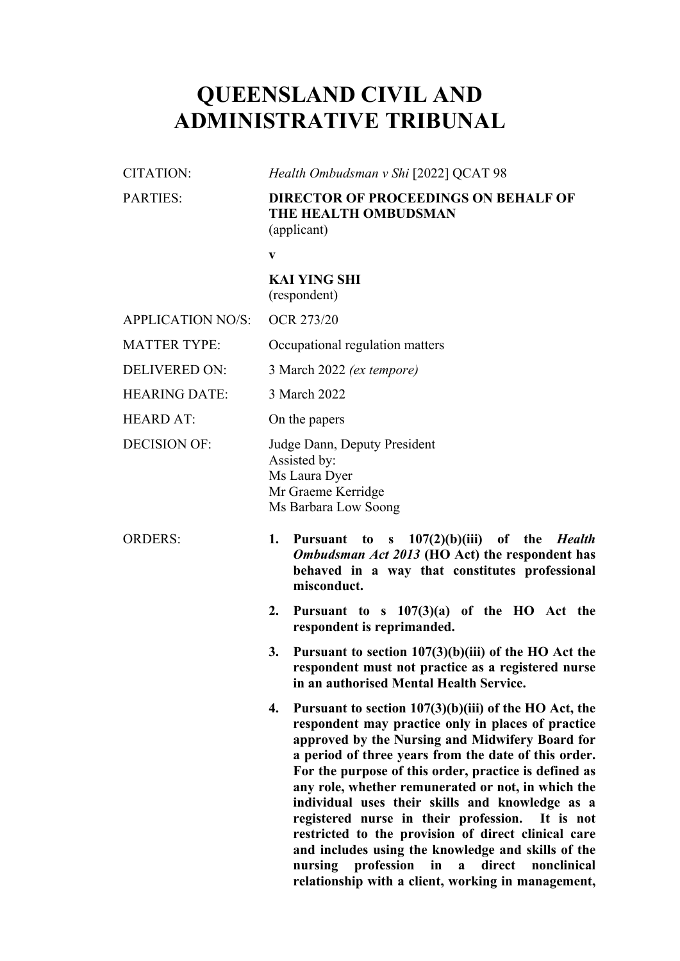# **QUEENSLAND CIVIL AND ADMINISTRATIVE TRIBUNAL**

| <b>CITATION:</b>         | Health Ombudsman v Shi [2022] QCAT 98                                                                                                                                                                                                                                                                                                                                                                                                                                                                                                                                                                                                     |  |  |  |  |
|--------------------------|-------------------------------------------------------------------------------------------------------------------------------------------------------------------------------------------------------------------------------------------------------------------------------------------------------------------------------------------------------------------------------------------------------------------------------------------------------------------------------------------------------------------------------------------------------------------------------------------------------------------------------------------|--|--|--|--|
| <b>PARTIES:</b>          | <b>DIRECTOR OF PROCEEDINGS ON BEHALF OF</b><br>THE HEALTH OMBUDSMAN<br>(applicant)                                                                                                                                                                                                                                                                                                                                                                                                                                                                                                                                                        |  |  |  |  |
|                          | $\mathbf{V}$                                                                                                                                                                                                                                                                                                                                                                                                                                                                                                                                                                                                                              |  |  |  |  |
|                          | <b>KAI YING SHI</b><br>(respondent)                                                                                                                                                                                                                                                                                                                                                                                                                                                                                                                                                                                                       |  |  |  |  |
| <b>APPLICATION NO/S:</b> | OCR 273/20                                                                                                                                                                                                                                                                                                                                                                                                                                                                                                                                                                                                                                |  |  |  |  |
| <b>MATTER TYPE:</b>      | Occupational regulation matters                                                                                                                                                                                                                                                                                                                                                                                                                                                                                                                                                                                                           |  |  |  |  |
| <b>DELIVERED ON:</b>     | 3 March 2022 (ex tempore)                                                                                                                                                                                                                                                                                                                                                                                                                                                                                                                                                                                                                 |  |  |  |  |
| <b>HEARING DATE:</b>     | 3 March 2022                                                                                                                                                                                                                                                                                                                                                                                                                                                                                                                                                                                                                              |  |  |  |  |
| <b>HEARD AT:</b>         | On the papers                                                                                                                                                                                                                                                                                                                                                                                                                                                                                                                                                                                                                             |  |  |  |  |
| <b>DECISION OF:</b>      | Judge Dann, Deputy President<br>Assisted by:<br>Ms Laura Dyer<br>Mr Graeme Kerridge<br>Ms Barbara Low Soong                                                                                                                                                                                                                                                                                                                                                                                                                                                                                                                               |  |  |  |  |
| <b>ORDERS:</b>           | Pursuant to s 107(2)(b)(iii) of the <i>Health</i><br>1.<br>Ombudsman Act 2013 (HO Act) the respondent has<br>behaved in a way that constitutes professional<br>misconduct.                                                                                                                                                                                                                                                                                                                                                                                                                                                                |  |  |  |  |
|                          | Pursuant to s $107(3)(a)$ of the HO Act the<br>2.<br>respondent is reprimanded.                                                                                                                                                                                                                                                                                                                                                                                                                                                                                                                                                           |  |  |  |  |
|                          | Pursuant to section $107(3)(b)(iii)$ of the HO Act the<br>3.<br>respondent must not practice as a registered nurse<br>in an authorised Mental Health Service.                                                                                                                                                                                                                                                                                                                                                                                                                                                                             |  |  |  |  |
|                          | Pursuant to section 107(3)(b)(iii) of the HO Act, the<br>4.<br>respondent may practice only in places of practice<br>approved by the Nursing and Midwifery Board for<br>a period of three years from the date of this order.<br>For the purpose of this order, practice is defined as<br>any role, whether remunerated or not, in which the<br>individual uses their skills and knowledge as a<br>registered nurse in their profession.<br>It is not<br>restricted to the provision of direct clinical care<br>and includes using the knowledge and skills of the<br>direct<br>nursing<br>profession<br>in<br>nonclinical<br>$\mathbf{a}$ |  |  |  |  |

**relationship with a client, working in management,**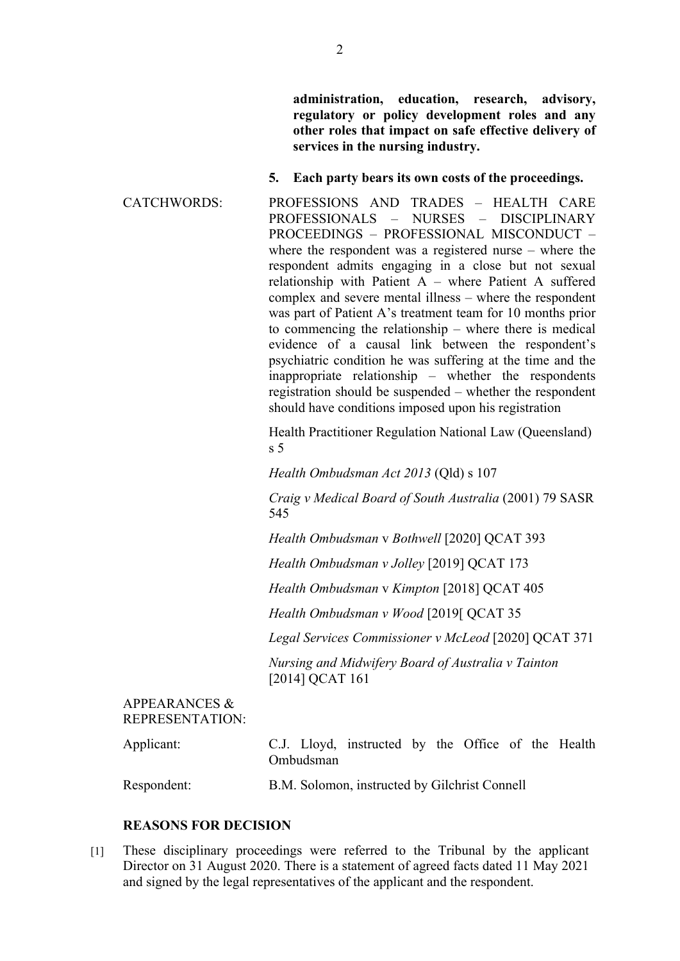**administration, education, research, advisory, regulatory or policy development roles and any other roles that impact on safe effective delivery of services in the nursing industry.**

#### **5. Each party bears its own costs of the proceedings.**

CATCHWORDS: PROFESSIONS AND TRADES – HEALTH CARE PROFESSIONALS – NURSES – DISCIPLINARY PROCEEDINGS – PROFESSIONAL MISCONDUCT – where the respondent was a registered nurse – where the respondent admits engaging in a close but not sexual relationship with Patient A – where Patient A suffered complex and severe mental illness – where the respondent was part of Patient A's treatment team for 10 months prior to commencing the relationship – where there is medical evidence of a causal link between the respondent's psychiatric condition he was suffering at the time and the inappropriate relationship – whether the respondents registration should be suspended – whether the respondent should have conditions imposed upon his registration

> Health Practitioner Regulation National Law (Queensland) s 5

*Health Ombudsman Act 2013* (Qld) s 107

*Craig v Medical Board of South Australia* (2001) 79 SASR 545

*Health Ombudsman* v *Bothwell* [2020] QCAT 393

*Health Ombudsman v Jolley* [2019] QCAT 173

*Health Ombudsman* v *Kimpton* [2018] QCAT 405

*Health Ombudsman v Wood* [2019[ QCAT 35

*Legal Services Commissioner v McLeod* [2020] QCAT 371

*Nursing and Midwifery Board of Australia v Tainton*  [2014] QCAT 161

### APPEARANCES & REPRESENTATION:

| Applicant:  | C.J. Lloyd, instructed by the Office of the Health<br>Ombudsman |  |  |  |
|-------------|-----------------------------------------------------------------|--|--|--|
| Respondent: | B.M. Solomon, instructed by Gilchrist Connell                   |  |  |  |

## **REASONS FOR DECISION**

[1] These disciplinary proceedings were referred to the Tribunal by the applicant Director on 31 August 2020. There is a statement of agreed facts dated 11 May 2021 and signed by the legal representatives of the applicant and the respondent.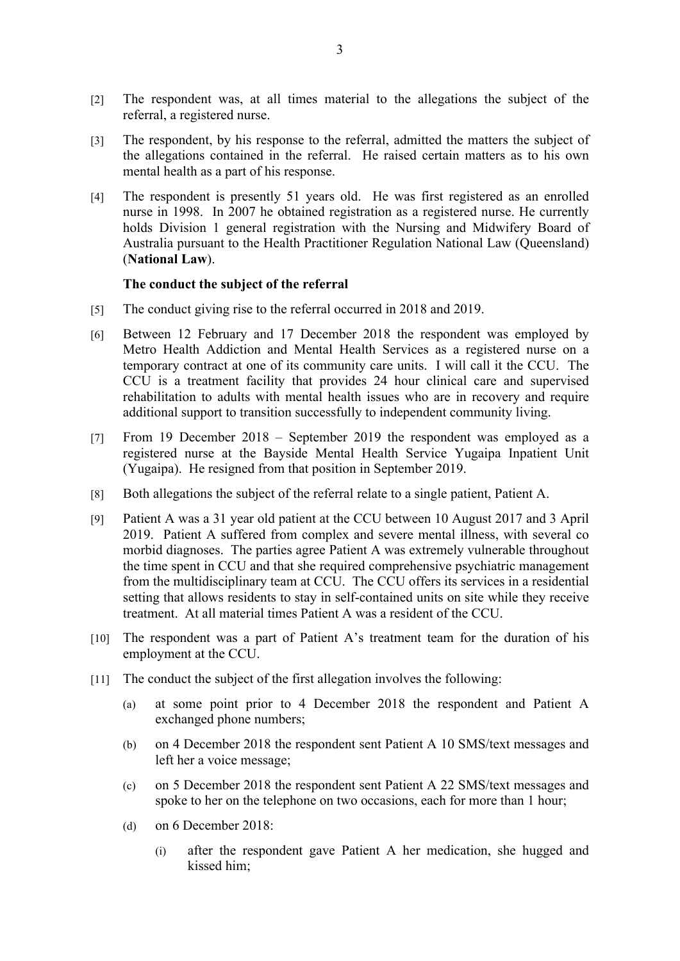- [2] The respondent was, at all times material to the allegations the subject of the referral, a registered nurse.
- [3] The respondent, by his response to the referral, admitted the matters the subject of the allegations contained in the referral. He raised certain matters as to his own mental health as a part of his response.
- [4] The respondent is presently 51 years old. He was first registered as an enrolled nurse in 1998. In 2007 he obtained registration as a registered nurse. He currently holds Division 1 general registration with the Nursing and Midwifery Board of Australia pursuant to the Health Practitioner Regulation National Law (Queensland) (**National Law**).

#### **The conduct the subject of the referral**

- [5] The conduct giving rise to the referral occurred in 2018 and 2019.
- [6] Between 12 February and 17 December 2018 the respondent was employed by Metro Health Addiction and Mental Health Services as a registered nurse on a temporary contract at one of its community care units. I will call it the CCU. The CCU is a treatment facility that provides 24 hour clinical care and supervised rehabilitation to adults with mental health issues who are in recovery and require additional support to transition successfully to independent community living.
- [7] From 19 December 2018 September 2019 the respondent was employed as a registered nurse at the Bayside Mental Health Service Yugaipa Inpatient Unit (Yugaipa). He resigned from that position in September 2019.
- [8] Both allegations the subject of the referral relate to a single patient, Patient A.
- [9] Patient A was a 31 year old patient at the CCU between 10 August 2017 and 3 April 2019. Patient A suffered from complex and severe mental illness, with several co morbid diagnoses. The parties agree Patient A was extremely vulnerable throughout the time spent in CCU and that she required comprehensive psychiatric management from the multidisciplinary team at CCU. The CCU offers its services in a residential setting that allows residents to stay in self-contained units on site while they receive treatment. At all material times Patient A was a resident of the CCU.
- [10] The respondent was a part of Patient A's treatment team for the duration of his employment at the CCU.
- [11] The conduct the subject of the first allegation involves the following:
	- (a) at some point prior to 4 December 2018 the respondent and Patient A exchanged phone numbers;
	- (b) on 4 December 2018 the respondent sent Patient A 10 SMS/text messages and left her a voice message;
	- (c) on 5 December 2018 the respondent sent Patient A 22 SMS/text messages and spoke to her on the telephone on two occasions, each for more than 1 hour;
	- (d) on 6 December 2018:
		- (i) after the respondent gave Patient A her medication, she hugged and kissed him;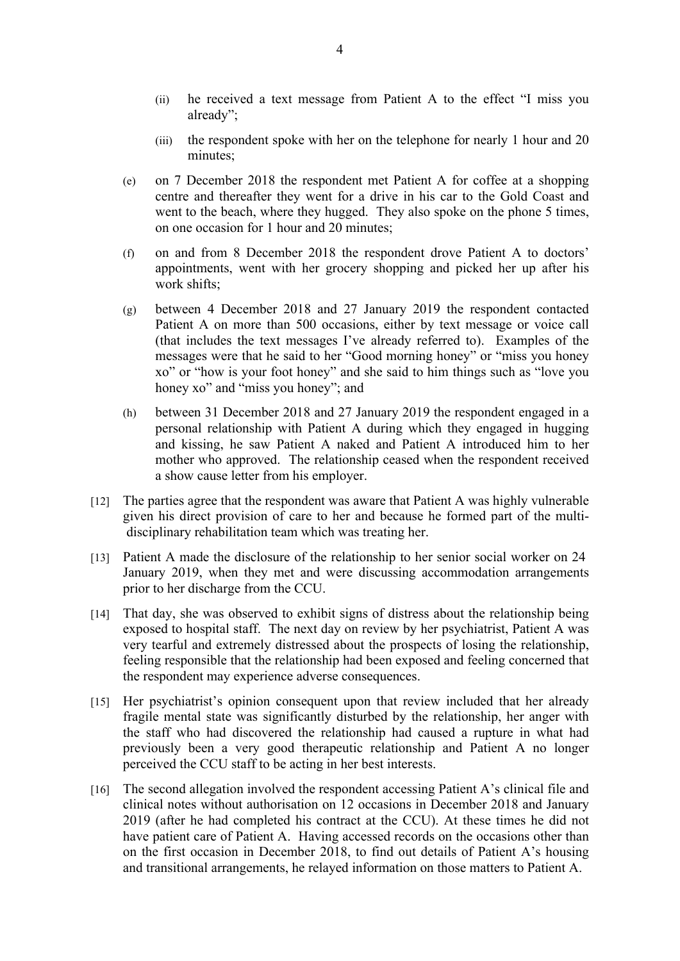- (ii) he received a text message from Patient A to the effect "I miss you already";
- (iii) the respondent spoke with her on the telephone for nearly 1 hour and 20 minutes;
- (e) on 7 December 2018 the respondent met Patient A for coffee at a shopping centre and thereafter they went for a drive in his car to the Gold Coast and went to the beach, where they hugged. They also spoke on the phone 5 times, on one occasion for 1 hour and 20 minutes;
- (f) on and from 8 December 2018 the respondent drove Patient A to doctors' appointments, went with her grocery shopping and picked her up after his work shifts;
- (g) between 4 December 2018 and 27 January 2019 the respondent contacted Patient A on more than 500 occasions, either by text message or voice call (that includes the text messages I've already referred to). Examples of the messages were that he said to her "Good morning honey" or "miss you honey xo" or "how is your foot honey" and she said to him things such as "love you honey xo" and "miss you honey"; and
- (h) between 31 December 2018 and 27 January 2019 the respondent engaged in a personal relationship with Patient A during which they engaged in hugging and kissing, he saw Patient A naked and Patient A introduced him to her mother who approved. The relationship ceased when the respondent received a show cause letter from his employer.
- [12] The parties agree that the respondent was aware that Patient A was highly vulnerable given his direct provision of care to her and because he formed part of the multi disciplinary rehabilitation team which was treating her.
- [13] Patient A made the disclosure of the relationship to her senior social worker on 24 January 2019, when they met and were discussing accommodation arrangements prior to her discharge from the CCU.
- [14] That day, she was observed to exhibit signs of distress about the relationship being exposed to hospital staff. The next day on review by her psychiatrist, Patient A was very tearful and extremely distressed about the prospects of losing the relationship, feeling responsible that the relationship had been exposed and feeling concerned that the respondent may experience adverse consequences.
- [15] Her psychiatrist's opinion consequent upon that review included that her already fragile mental state was significantly disturbed by the relationship, her anger with the staff who had discovered the relationship had caused a rupture in what had previously been a very good therapeutic relationship and Patient A no longer perceived the CCU staff to be acting in her best interests.
- [16] The second allegation involved the respondent accessing Patient A's clinical file and clinical notes without authorisation on 12 occasions in December 2018 and January 2019 (after he had completed his contract at the CCU). At these times he did not have patient care of Patient A. Having accessed records on the occasions other than on the first occasion in December 2018, to find out details of Patient A's housing and transitional arrangements, he relayed information on those matters to Patient A.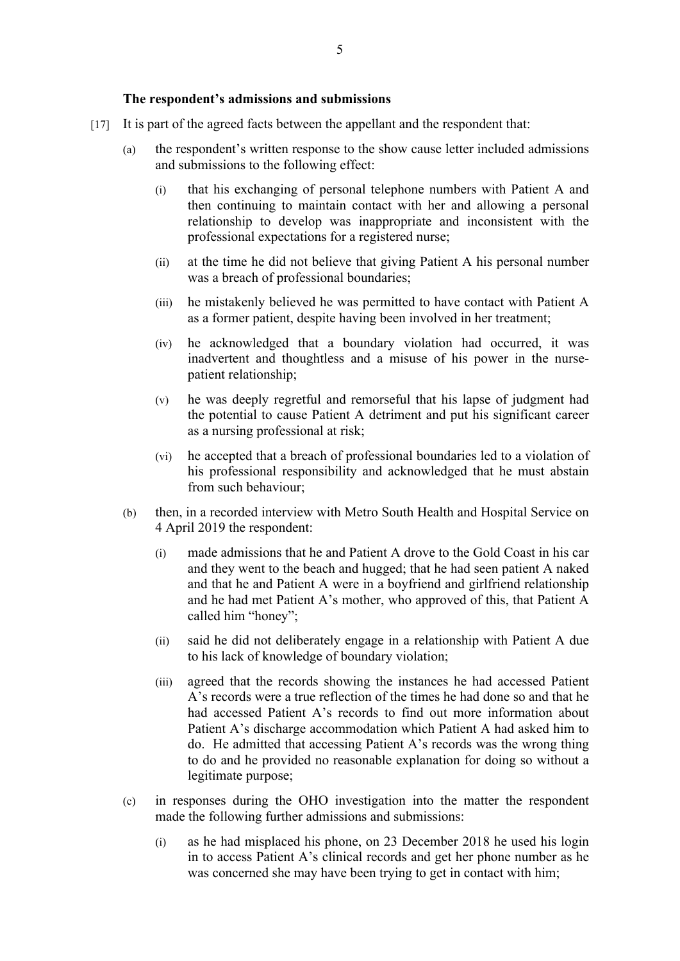#### **The respondent's admissions and submissions**

- [17] It is part of the agreed facts between the appellant and the respondent that:
	- (a) the respondent's written response to the show cause letter included admissions and submissions to the following effect:
		- (i) that his exchanging of personal telephone numbers with Patient A and then continuing to maintain contact with her and allowing a personal relationship to develop was inappropriate and inconsistent with the professional expectations for a registered nurse;
		- (ii) at the time he did not believe that giving Patient A his personal number was a breach of professional boundaries;
		- (iii) he mistakenly believed he was permitted to have contact with Patient A as a former patient, despite having been involved in her treatment;
		- (iv) he acknowledged that a boundary violation had occurred, it was inadvertent and thoughtless and a misuse of his power in the nursepatient relationship;
		- (v) he was deeply regretful and remorseful that his lapse of judgment had the potential to cause Patient A detriment and put his significant career as a nursing professional at risk;
		- (vi) he accepted that a breach of professional boundaries led to a violation of his professional responsibility and acknowledged that he must abstain from such behaviour;
	- (b) then, in a recorded interview with Metro South Health and Hospital Service on 4 April 2019 the respondent:
		- (i) made admissions that he and Patient A drove to the Gold Coast in his car and they went to the beach and hugged; that he had seen patient A naked and that he and Patient A were in a boyfriend and girlfriend relationship and he had met Patient A's mother, who approved of this, that Patient A called him "honey";
		- (ii) said he did not deliberately engage in a relationship with Patient A due to his lack of knowledge of boundary violation;
		- (iii) agreed that the records showing the instances he had accessed Patient A's records were a true reflection of the times he had done so and that he had accessed Patient A's records to find out more information about Patient A's discharge accommodation which Patient A had asked him to do. He admitted that accessing Patient A's records was the wrong thing to do and he provided no reasonable explanation for doing so without a legitimate purpose;
	- (c) in responses during the OHO investigation into the matter the respondent made the following further admissions and submissions:
		- (i) as he had misplaced his phone, on 23 December 2018 he used his login in to access Patient A's clinical records and get her phone number as he was concerned she may have been trying to get in contact with him;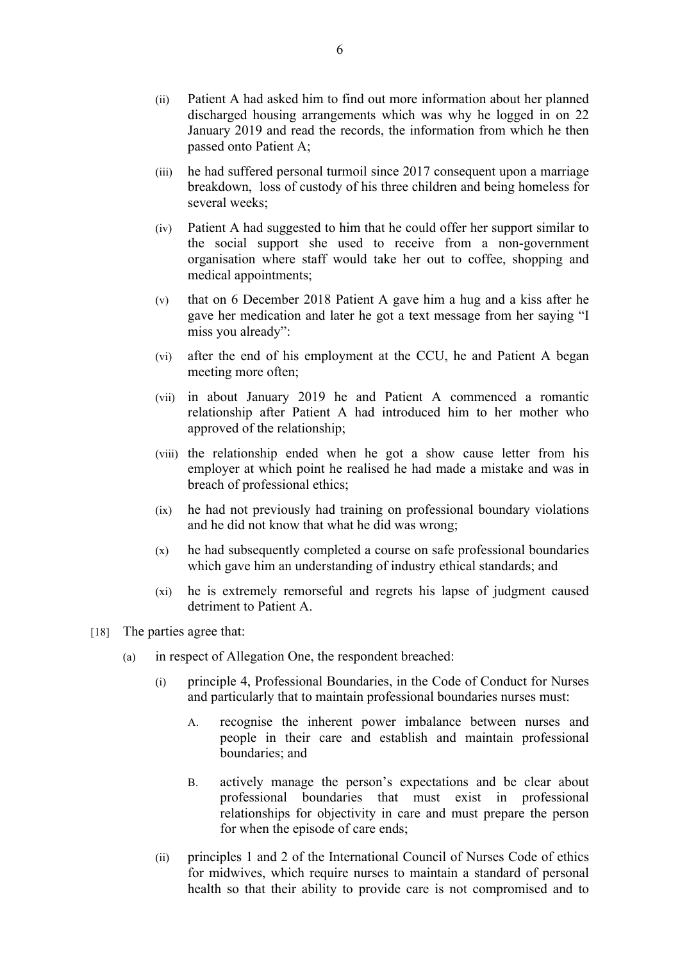- (ii) Patient A had asked him to find out more information about her planned discharged housing arrangements which was why he logged in on 22 January 2019 and read the records, the information from which he then passed onto Patient A;
- (iii) he had suffered personal turmoil since 2017 consequent upon a marriage breakdown, loss of custody of his three children and being homeless for several weeks;
- (iv) Patient A had suggested to him that he could offer her support similar to the social support she used to receive from a non-government organisation where staff would take her out to coffee, shopping and medical appointments;
- (v) that on 6 December 2018 Patient A gave him a hug and a kiss after he gave her medication and later he got a text message from her saying "I miss you already":
- (vi) after the end of his employment at the CCU, he and Patient A began meeting more often;
- (vii) in about January 2019 he and Patient A commenced a romantic relationship after Patient A had introduced him to her mother who approved of the relationship;
- (viii) the relationship ended when he got a show cause letter from his employer at which point he realised he had made a mistake and was in breach of professional ethics;
- (ix) he had not previously had training on professional boundary violations and he did not know that what he did was wrong;
- (x) he had subsequently completed a course on safe professional boundaries which gave him an understanding of industry ethical standards; and
- (xi) he is extremely remorseful and regrets his lapse of judgment caused detriment to Patient A.
- [18] The parties agree that:
	- (a) in respect of Allegation One, the respondent breached:
		- (i) principle 4, Professional Boundaries, in the Code of Conduct for Nurses and particularly that to maintain professional boundaries nurses must:
			- A. recognise the inherent power imbalance between nurses and people in their care and establish and maintain professional boundaries; and
			- B. actively manage the person's expectations and be clear about professional boundaries that must exist in professional relationships for objectivity in care and must prepare the person for when the episode of care ends;
		- (ii) principles 1 and 2 of the International Council of Nurses Code of ethics for midwives, which require nurses to maintain a standard of personal health so that their ability to provide care is not compromised and to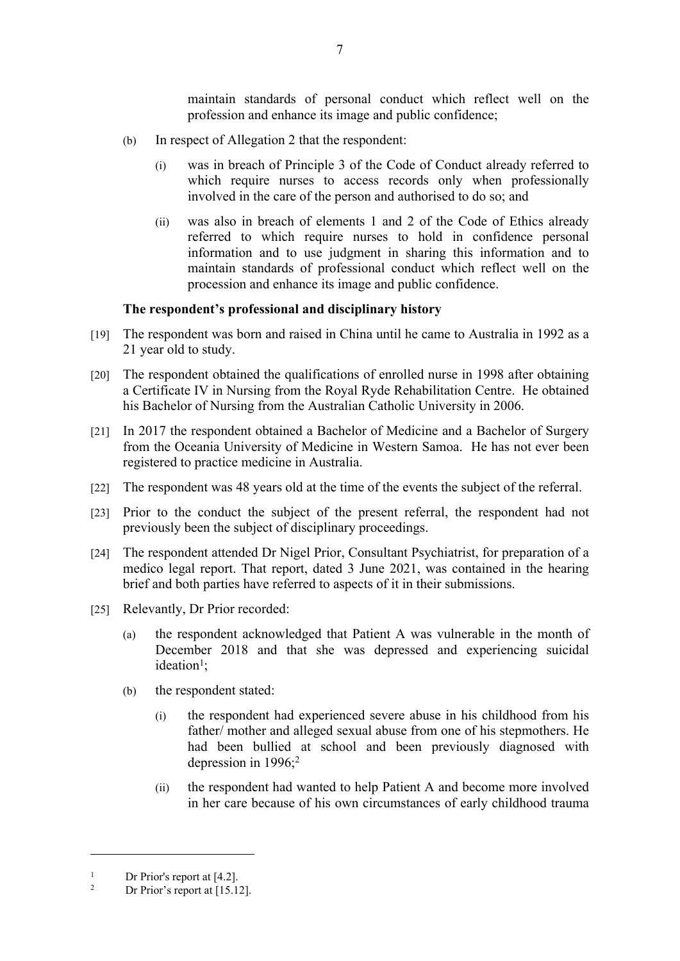maintain standards of personal conduct which reflect well on the profession and enhance its image and public confidence;

- (b) In respect of Allegation 2 that the respondent:
	- (i) was in breach of Principle 3 of the Code of Conduct already referred to which require nurses to access records only when professionally involved in the care of the person and authorised to do so; and
	- (ii) was also in breach of elements 1 and 2 of the Code of Ethics already referred to which require nurses to hold in confidence personal information and to use judgment in sharing this information and to maintain standards of professional conduct which reflect well on the procession and enhance its image and public confidence.

#### **The respondent's professional and disciplinary history**

- [19] The respondent was born and raised in China until he came to Australia in 1992 as a 21 year old to study.
- [20] The respondent obtained the qualifications of enrolled nurse in 1998 after obtaining a Certificate IV in Nursing from the Royal Ryde Rehabilitation Centre. He obtained his Bachelor of Nursing from the Australian Catholic University in 2006.
- [21] In 2017 the respondent obtained a Bachelor of Medicine and a Bachelor of Surgery from the Oceania University of Medicine in Western Samoa. He has not ever been registered to practice medicine in Australia.
- [22] The respondent was 48 years old at the time of the events the subject of the referral.
- [23] Prior to the conduct the subject of the present referral, the respondent had not previously been the subject of disciplinary proceedings.
- [24] The respondent attended Dr Nigel Prior, Consultant Psychiatrist, for preparation of a medico legal report. That report, dated 3 June 2021, was contained in the hearing brief and both parties have referred to aspects of it in their submissions.
- [25] Relevantly, Dr Prior recorded:
	- (a) the respondent acknowledged that Patient A was vulnerable in the month of December 2018 and that she was depressed and experiencing suicidal ideation<sup>1</sup>;
	- (b) the respondent stated:
		- (i) the respondent had experienced severe abuse in his childhood from his father/ mother and alleged sexual abuse from one of his stepmothers. He had been bullied at school and been previously diagnosed with depression in 1996;<sup>2</sup>
		- (ii) the respondent had wanted to help Patient A and become more involved in her care because of his own circumstances of early childhood trauma

<sup>&</sup>lt;sup>1</sup> Dr Prior's report at  $[4.2]$ .

Dr Prior's report at [15.12].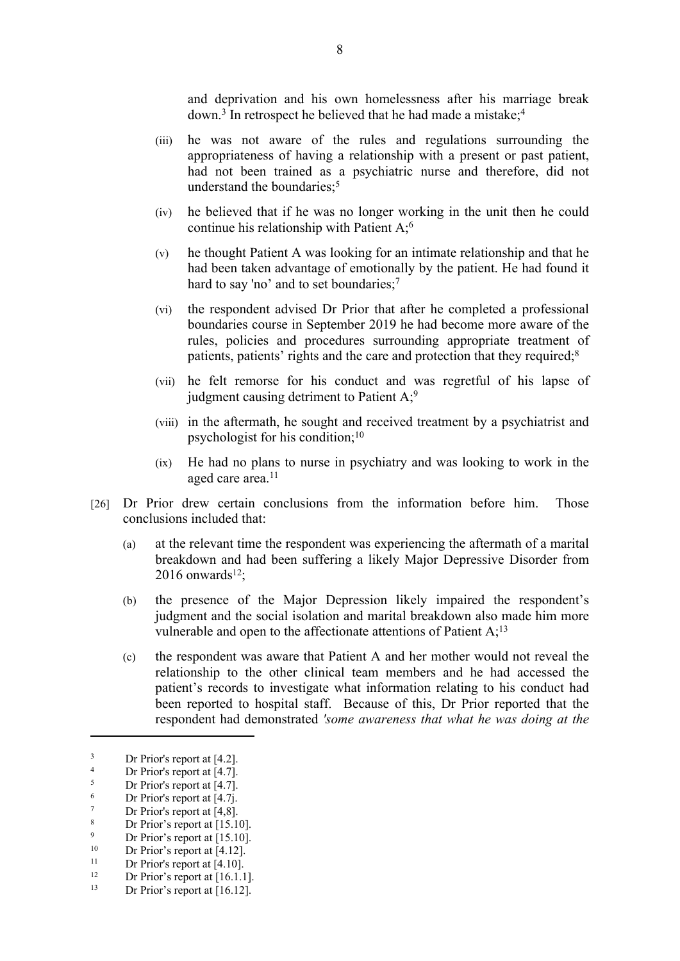and deprivation and his own homelessness after his marriage break down.<sup>3</sup> In retrospect he believed that he had made a mistake;<sup>4</sup>

- (iii) he was not aware of the rules and regulations surrounding the appropriateness of having a relationship with a present or past patient, had not been trained as a psychiatric nurse and therefore, did not understand the boundaries:<sup>5</sup>
- (iv) he believed that if he was no longer working in the unit then he could continue his relationship with Patient A;<sup>6</sup>
- (v) he thought Patient A was looking for an intimate relationship and that he had been taken advantage of emotionally by the patient. He had found it hard to say 'no' and to set boundaries;<sup>7</sup>
- (vi) the respondent advised Dr Prior that after he completed a professional boundaries course in September 2019 he had become more aware of the rules, policies and procedures surrounding appropriate treatment of patients, patients' rights and the care and protection that they required;<sup>8</sup>
- (vii) he felt remorse for his conduct and was regretful of his lapse of judgment causing detriment to Patient  $A$ ;<sup>9</sup>
- (viii) in the aftermath, he sought and received treatment by a psychiatrist and psychologist for his condition;<sup>10</sup>
- (ix) He had no plans to nurse in psychiatry and was looking to work in the aged care area.<sup>11</sup>
- [26] Dr Prior drew certain conclusions from the information before him. Those conclusions included that:
	- (a) at the relevant time the respondent was experiencing the aftermath of a marital breakdown and had been suffering a likely Major Depressive Disorder from  $2016$  onwards<sup>12</sup>;
	- (b) the presence of the Major Depression likely impaired the respondent's judgment and the social isolation and marital breakdown also made him more vulnerable and open to the affectionate attentions of Patient  $A$ ;<sup>13</sup>
	- (c) the respondent was aware that Patient A and her mother would not reveal the relationship to the other clinical team members and he had accessed the patient's records to investigate what information relating to his conduct had been reported to hospital staff. Because of this, Dr Prior reported that the respondent had demonstrated *'some awareness that what he was doing at the*

 $\frac{3}{4}$  Dr Prior's report at [4.2].

<sup>&</sup>lt;sup>4</sup> Dr Prior's report at  $[4.7]$ .

 $\frac{5}{6}$  Dr Prior's report at [4.7].

 $\frac{6}{7}$  Dr Prior's report at [4.7j.

 $\frac{7}{8}$  Dr Prior's report at [4,8].

 $8$  Dr Prior's report at [15.10].

<sup>&</sup>lt;sup>9</sup> Dr Prior's report at  $[15.10]$ .

<sup>&</sup>lt;sup>10</sup> Dr Prior's report at  $[4.12]$ .

<sup>&</sup>lt;sup>11</sup> Dr Prior's report at  $[4.10]$ .<br><sup>12</sup> Dr Prior's report at  $[16.11]$ 

<sup>&</sup>lt;sup>12</sup> Dr Prior's report at  $[16.1.1]$ .<br>
<sup>13</sup> Dr Prior's report at  $[16.12]$ 

Dr Prior's report at [16.12].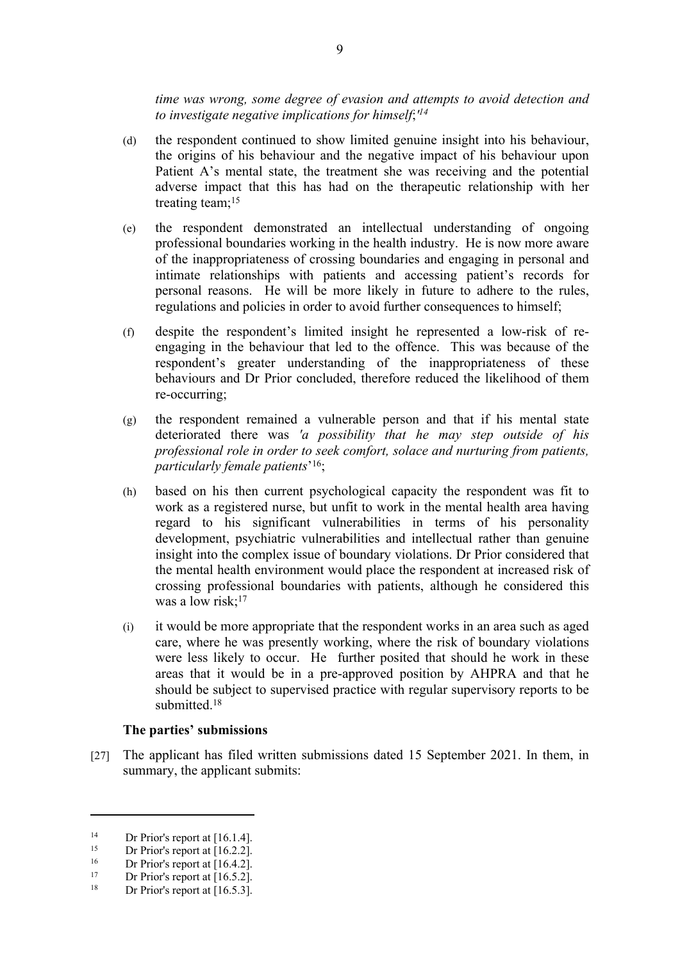*time was wrong, some degree of evasion and attempts to avoid detection and to investigate negative implications for himself*;*' 14*

- (d) the respondent continued to show limited genuine insight into his behaviour, the origins of his behaviour and the negative impact of his behaviour upon Patient A's mental state, the treatment she was receiving and the potential adverse impact that this has had on the therapeutic relationship with her treating team; $15$
- (e) the respondent demonstrated an intellectual understanding of ongoing professional boundaries working in the health industry. He is now more aware of the inappropriateness of crossing boundaries and engaging in personal and intimate relationships with patients and accessing patient's records for personal reasons. He will be more likely in future to adhere to the rules, regulations and policies in order to avoid further consequences to himself:
- (f) despite the respondent's limited insight he represented a low-risk of reengaging in the behaviour that led to the offence. This was because of the respondent's greater understanding of the inappropriateness of these behaviours and Dr Prior concluded, therefore reduced the likelihood of them re-occurring;
- (g) the respondent remained a vulnerable person and that if his mental state deteriorated there was *'a possibility that he may step outside of his professional role in order to seek comfort, solace and nurturing from patients, particularly female patients*' 16;
- (h) based on his then current psychological capacity the respondent was fit to work as a registered nurse, but unfit to work in the mental health area having regard to his significant vulnerabilities in terms of his personality development, psychiatric vulnerabilities and intellectual rather than genuine insight into the complex issue of boundary violations. Dr Prior considered that the mental health environment would place the respondent at increased risk of crossing professional boundaries with patients, although he considered this was a low risk;<sup>17</sup>
- (i) it would be more appropriate that the respondent works in an area such as aged care, where he was presently working, where the risk of boundary violations were less likely to occur. He further posited that should he work in these areas that it would be in a pre-approved position by AHPRA and that he should be subject to supervised practice with regular supervisory reports to be submitted.<sup>18</sup>

#### **The parties' submissions**

[27] The applicant has filed written submissions dated 15 September 2021. In them, in summary, the applicant submits:

<sup>&</sup>lt;sup>14</sup> Dr Prior's report at  $[16.1.4]$ .

<sup>&</sup>lt;sup>15</sup> Dr Prior's report at  $[16.2.2]$ .

<sup>&</sup>lt;sup>16</sup> Dr Prior's report at  $[16.4.2]$ .<br><sup>17</sup> Dr Prior's report at  $[16.5.2]$ 

<sup>&</sup>lt;sup>17</sup> Dr Prior's report at  $[16.5.2]$ .<br><sup>18</sup> Dr Prior's report at  $[16.5.2]$ .

Dr Prior's report at  $[16.5.3]$ .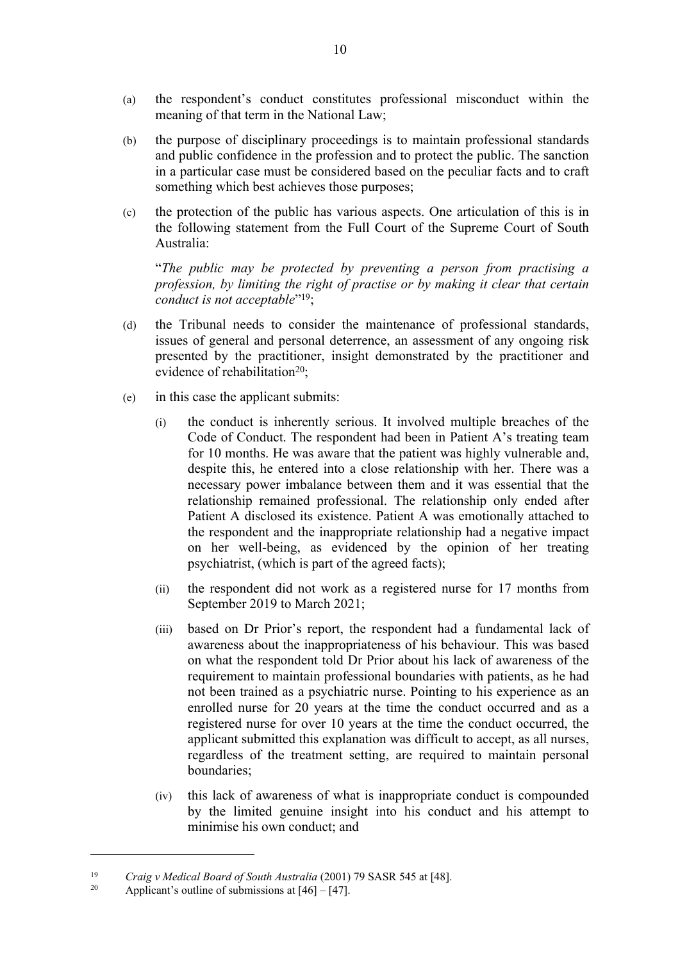- (a) the respondent's conduct constitutes professional misconduct within the meaning of that term in the National Law;
- (b) the purpose of disciplinary proceedings is to maintain professional standards and public confidence in the profession and to protect the public. The sanction in a particular case must be considered based on the peculiar facts and to craft something which best achieves those purposes;
- (c) the protection of the public has various aspects. One articulation of this is in the following statement from the Full Court of the Supreme Court of South Australia:

"*The public may be protected by preventing a person from practising a profession, by limiting the right of practise or by making it clear that certain conduct is not acceptable*" 19;

- (d) the Tribunal needs to consider the maintenance of professional standards, issues of general and personal deterrence, an assessment of any ongoing risk presented by the practitioner, insight demonstrated by the practitioner and evidence of rehabilitation<sup>20</sup>;
- (e) in this case the applicant submits:
	- (i) the conduct is inherently serious. It involved multiple breaches of the Code of Conduct. The respondent had been in Patient A's treating team for 10 months. He was aware that the patient was highly vulnerable and, despite this, he entered into a close relationship with her. There was a necessary power imbalance between them and it was essential that the relationship remained professional. The relationship only ended after Patient A disclosed its existence. Patient A was emotionally attached to the respondent and the inappropriate relationship had a negative impact on her well-being, as evidenced by the opinion of her treating psychiatrist, (which is part of the agreed facts);
	- (ii) the respondent did not work as a registered nurse for 17 months from September 2019 to March 2021;
	- (iii) based on Dr Prior's report, the respondent had a fundamental lack of awareness about the inappropriateness of his behaviour. This was based on what the respondent told Dr Prior about his lack of awareness of the requirement to maintain professional boundaries with patients, as he had not been trained as a psychiatric nurse. Pointing to his experience as an enrolled nurse for 20 years at the time the conduct occurred and as a registered nurse for over 10 years at the time the conduct occurred, the applicant submitted this explanation was difficult to accept, as all nurses, regardless of the treatment setting, are required to maintain personal boundaries;
	- (iv) this lack of awareness of what is inappropriate conduct is compounded by the limited genuine insight into his conduct and his attempt to minimise his own conduct; and

<sup>19</sup> *Craig v Medical Board of South Australia* (2001) 79 SASR 545 at [48].

Applicant's outline of submissions at  $[46] - [47]$ .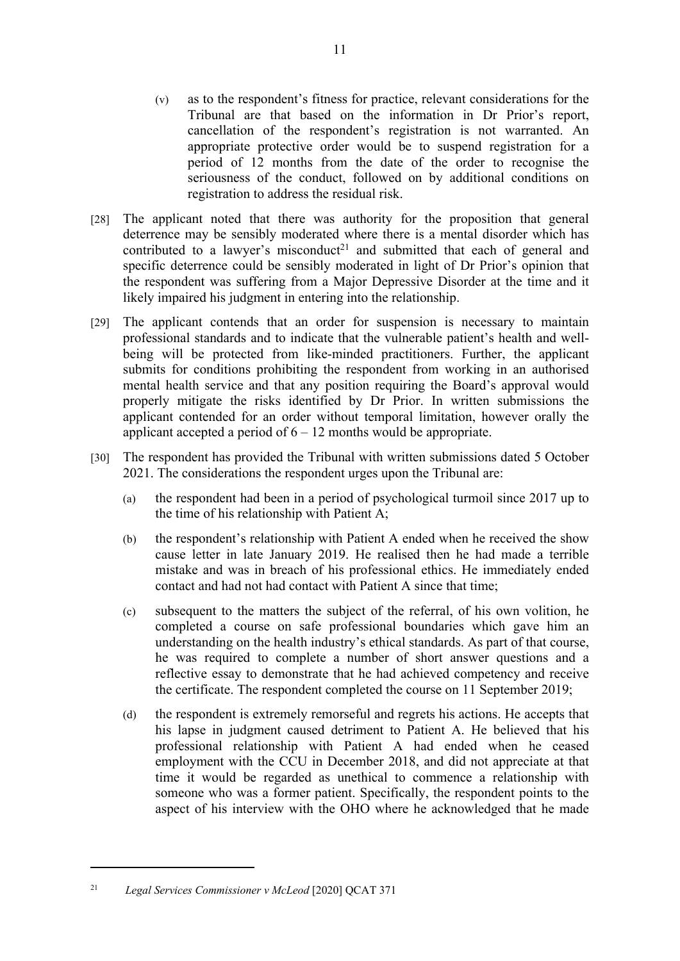- (v) as to the respondent's fitness for practice, relevant considerations for the Tribunal are that based on the information in Dr Prior's report, cancellation of the respondent's registration is not warranted. An appropriate protective order would be to suspend registration for a period of 12 months from the date of the order to recognise the seriousness of the conduct, followed on by additional conditions on registration to address the residual risk.
- [28] The applicant noted that there was authority for the proposition that general deterrence may be sensibly moderated where there is a mental disorder which has contributed to a lawyer's misconduct<sup>21</sup> and submitted that each of general and specific deterrence could be sensibly moderated in light of Dr Prior's opinion that the respondent was suffering from a Major Depressive Disorder at the time and it likely impaired his judgment in entering into the relationship.
- [29] The applicant contends that an order for suspension is necessary to maintain professional standards and to indicate that the vulnerable patient's health and wellbeing will be protected from like-minded practitioners. Further, the applicant submits for conditions prohibiting the respondent from working in an authorised mental health service and that any position requiring the Board's approval would properly mitigate the risks identified by Dr Prior. In written submissions the applicant contended for an order without temporal limitation, however orally the applicant accepted a period of  $6 - 12$  months would be appropriate.
- [30] The respondent has provided the Tribunal with written submissions dated 5 October 2021. The considerations the respondent urges upon the Tribunal are:
	- (a) the respondent had been in a period of psychological turmoil since 2017 up to the time of his relationship with Patient A;
	- (b) the respondent's relationship with Patient A ended when he received the show cause letter in late January 2019. He realised then he had made a terrible mistake and was in breach of his professional ethics. He immediately ended contact and had not had contact with Patient A since that time;
	- (c) subsequent to the matters the subject of the referral, of his own volition, he completed a course on safe professional boundaries which gave him an understanding on the health industry's ethical standards. As part of that course, he was required to complete a number of short answer questions and a reflective essay to demonstrate that he had achieved competency and receive the certificate. The respondent completed the course on 11 September 2019;
	- (d) the respondent is extremely remorseful and regrets his actions. He accepts that his lapse in judgment caused detriment to Patient A. He believed that his professional relationship with Patient A had ended when he ceased employment with the CCU in December 2018, and did not appreciate at that time it would be regarded as unethical to commence a relationship with someone who was a former patient. Specifically, the respondent points to the aspect of his interview with the OHO where he acknowledged that he made

<sup>11</sup>

<sup>21</sup> *Legal Services Commissioner v McLeod* [2020] QCAT 371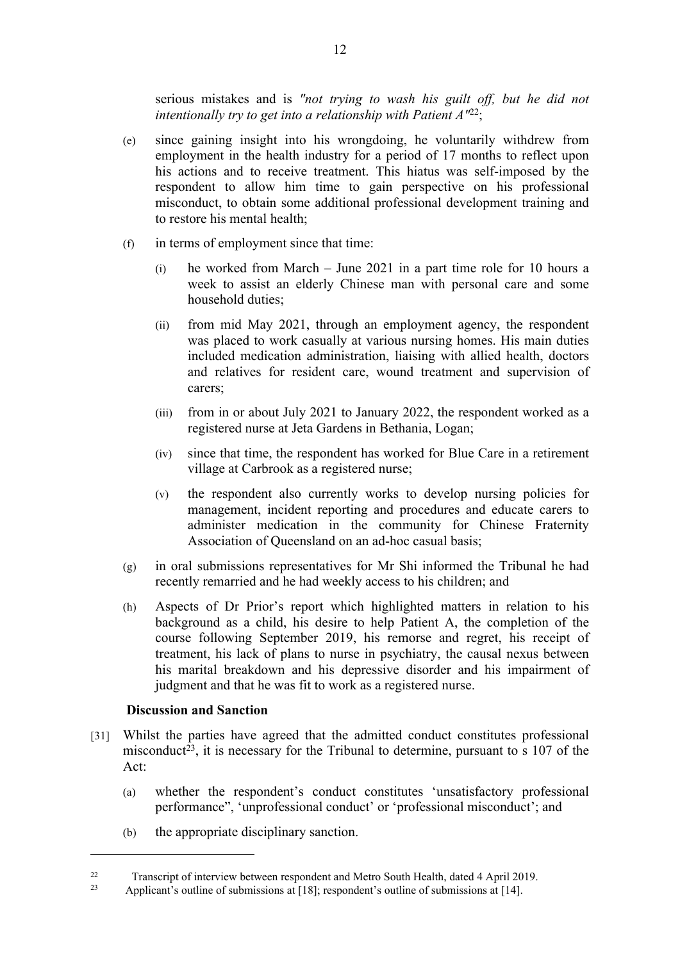serious mistakes and is *"not trying to wash his guilt off, but he did not intentionally try to get into a relationship with Patient A"*<sup>22</sup>;

- (e) since gaining insight into his wrongdoing, he voluntarily withdrew from employment in the health industry for a period of 17 months to reflect upon his actions and to receive treatment. This hiatus was self-imposed by the respondent to allow him time to gain perspective on his professional misconduct, to obtain some additional professional development training and to restore his mental health;
- (f) in terms of employment since that time:
	- (i) he worked from March June 2021 in a part time role for 10 hours a week to assist an elderly Chinese man with personal care and some household duties;
	- (ii) from mid May 2021, through an employment agency, the respondent was placed to work casually at various nursing homes. His main duties included medication administration, liaising with allied health, doctors and relatives for resident care, wound treatment and supervision of carers;
	- (iii) from in or about July 2021 to January 2022, the respondent worked as a registered nurse at Jeta Gardens in Bethania, Logan;
	- (iv) since that time, the respondent has worked for Blue Care in a retirement village at Carbrook as a registered nurse;
	- (v) the respondent also currently works to develop nursing policies for management, incident reporting and procedures and educate carers to administer medication in the community for Chinese Fraternity Association of Queensland on an ad-hoc casual basis;
- (g) in oral submissions representatives for Mr Shi informed the Tribunal he had recently remarried and he had weekly access to his children; and
- (h) Aspects of Dr Prior's report which highlighted matters in relation to his background as a child, his desire to help Patient A, the completion of the course following September 2019, his remorse and regret, his receipt of treatment, his lack of plans to nurse in psychiatry, the causal nexus between his marital breakdown and his depressive disorder and his impairment of judgment and that he was fit to work as a registered nurse.

#### **Discussion and Sanction**

- [31] Whilst the parties have agreed that the admitted conduct constitutes professional misconduct<sup>23</sup>, it is necessary for the Tribunal to determine, pursuant to s  $107$  of the Act:
	- (a) whether the respondent's conduct constitutes 'unsatisfactory professional performance", 'unprofessional conduct' or 'professional misconduct'; and
	- (b) the appropriate disciplinary sanction.

<sup>22</sup> Transcript of interview between respondent and Metro South Health, dated 4 April 2019.

Applicant's outline of submissions at [18]; respondent's outline of submissions at [14].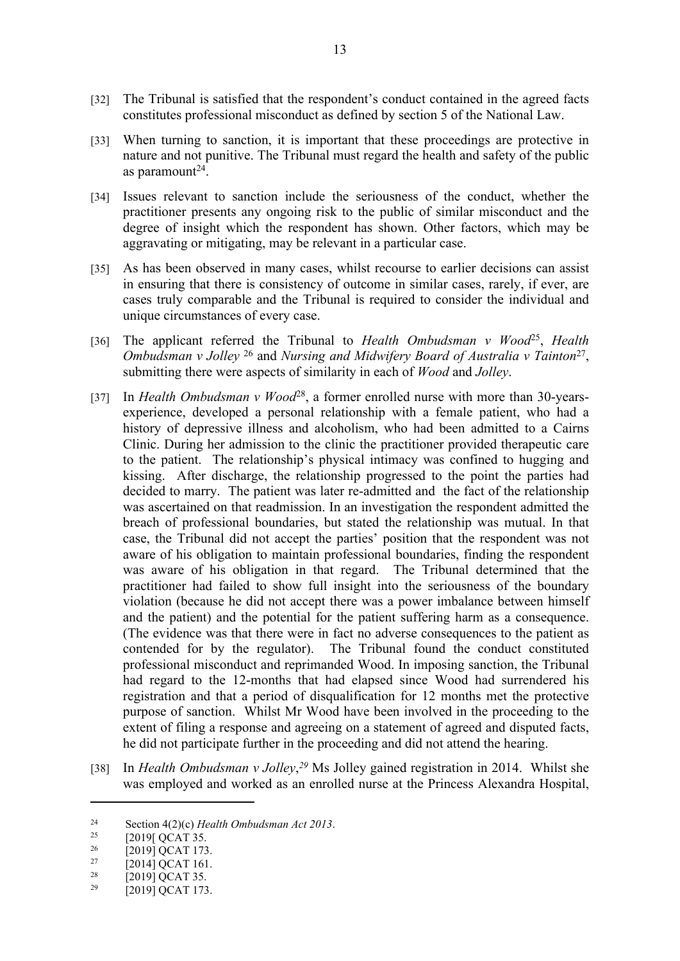- [32] The Tribunal is satisfied that the respondent's conduct contained in the agreed facts constitutes professional misconduct as defined by section 5 of the National Law.
- [33] When turning to sanction, it is important that these proceedings are protective in nature and not punitive. The Tribunal must regard the health and safety of the public as paramount $24$ .
- [34] Issues relevant to sanction include the seriousness of the conduct, whether the practitioner presents any ongoing risk to the public of similar misconduct and the degree of insight which the respondent has shown. Other factors, which may be aggravating or mitigating, may be relevant in a particular case.
- [35] As has been observed in many cases, whilst recourse to earlier decisions can assist in ensuring that there is consistency of outcome in similar cases, rarely, if ever, are cases truly comparable and the Tribunal is required to consider the individual and unique circumstances of every case.
- [36] The applicant referred the Tribunal to *Health Ombudsman v Wood*<sup>25</sup>, *Health Ombudsman v Jolley* <sup>26</sup> and *Nursing and Midwifery Board of Australia v Tainton*<sup>27</sup> , submitting there were aspects of similarity in each of *Wood* and *Jolley*.
- [37] In *Health Ombudsman v Wood*<sup>28</sup>, a former enrolled nurse with more than 30-yearsexperience, developed a personal relationship with a female patient, who had a history of depressive illness and alcoholism, who had been admitted to a Cairns Clinic. During her admission to the clinic the practitioner provided therapeutic care to the patient. The relationship's physical intimacy was confined to hugging and kissing. After discharge, the relationship progressed to the point the parties had decided to marry. The patient was later re-admitted and the fact of the relationship was ascertained on that readmission. In an investigation the respondent admitted the breach of professional boundaries, but stated the relationship was mutual. In that case, the Tribunal did not accept the parties' position that the respondent was not aware of his obligation to maintain professional boundaries, finding the respondent was aware of his obligation in that regard. The Tribunal determined that the practitioner had failed to show full insight into the seriousness of the boundary violation (because he did not accept there was a power imbalance between himself and the patient) and the potential for the patient suffering harm as a consequence. (The evidence was that there were in fact no adverse consequences to the patient as contended for by the regulator). The Tribunal found the conduct constituted professional misconduct and reprimanded Wood. In imposing sanction, the Tribunal had regard to the 12-months that had elapsed since Wood had surrendered his registration and that a period of disqualification for 12 months met the protective purpose of sanction. Whilst Mr Wood have been involved in the proceeding to the extent of filing a response and agreeing on a statement of agreed and disputed facts, he did not participate further in the proceeding and did not attend the hearing.
- [38] In *Health Ombudsman v Jolley*,<sup>29</sup> Ms Jolley gained registration in 2014. Whilst she was employed and worked as an enrolled nurse at the Princess Alexandra Hospital,

<sup>&</sup>lt;sup>24</sup> Section 4(2)(c) *Health Ombudsman Act 2013*.

<sup>&</sup>lt;sup>25</sup>  $[2019] \overline{QCAT 35}$ .<br>
<sup>26</sup>  $[2010] \overline{QCAT 173}$ 

 $^{26}$  [2019] QCAT 173.

<sup>&</sup>lt;sup>27</sup> [2014] QCAT 161.<br><sup>28</sup> [2010] QCAT 25

 $^{28}$  [2019] QCAT 35.<br>  $^{29}$  [2010] QCAT 173

<sup>[2019]</sup> QCAT 173.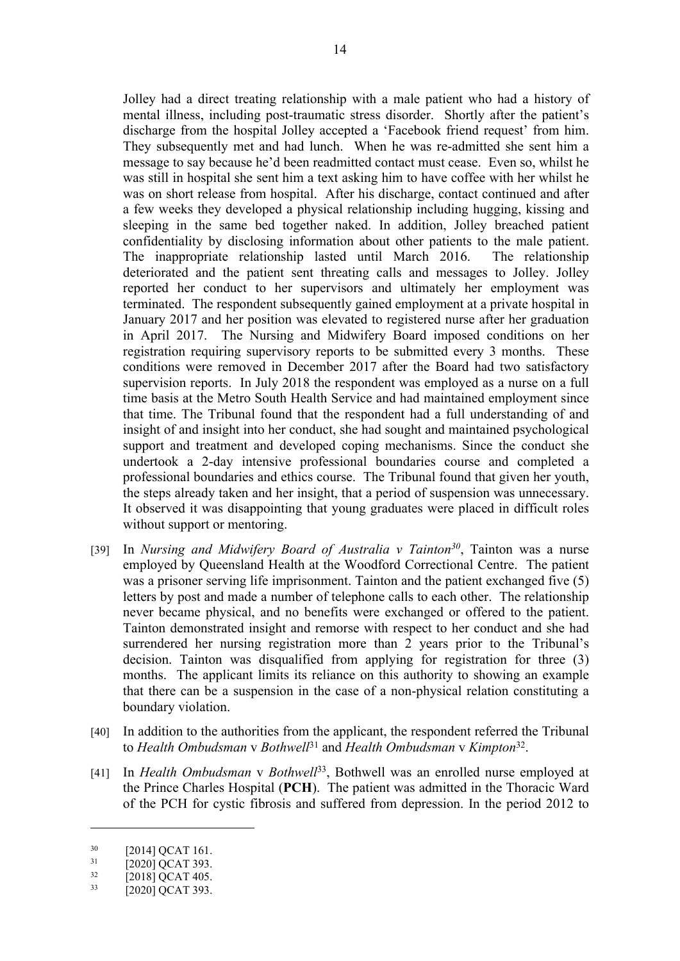Jolley had a direct treating relationship with a male patient who had a history of mental illness, including post-traumatic stress disorder. Shortly after the patient's discharge from the hospital Jolley accepted a 'Facebook friend request' from him. They subsequently met and had lunch. When he was re-admitted she sent him a message to say because he'd been readmitted contact must cease. Even so, whilst he was still in hospital she sent him a text asking him to have coffee with her whilst he was on short release from hospital. After his discharge, contact continued and after a few weeks they developed a physical relationship including hugging, kissing and sleeping in the same bed together naked. In addition, Jolley breached patient confidentiality by disclosing information about other patients to the male patient. The inappropriate relationship lasted until March 2016. The relationship deteriorated and the patient sent threating calls and messages to Jolley. Jolley reported her conduct to her supervisors and ultimately her employment was terminated. The respondent subsequently gained employment at a private hospital in January 2017 and her position was elevated to registered nurse after her graduation in April 2017. The Nursing and Midwifery Board imposed conditions on her registration requiring supervisory reports to be submitted every 3 months. These conditions were removed in December 2017 after the Board had two satisfactory supervision reports. In July 2018 the respondent was employed as a nurse on a full time basis at the Metro South Health Service and had maintained employment since that time. The Tribunal found that the respondent had a full understanding of and insight of and insight into her conduct, she had sought and maintained psychological support and treatment and developed coping mechanisms. Since the conduct she undertook a 2-day intensive professional boundaries course and completed a professional boundaries and ethics course. The Tribunal found that given her youth, the steps already taken and her insight, that a period of suspension was unnecessary. It observed it was disappointing that young graduates were placed in difficult roles without support or mentoring.

- [39] In *Nursing and Midwifery Board of Australia v Tainton<sup>30</sup>*, Tainton was a nurse employed by Queensland Health at the Woodford Correctional Centre. The patient was a prisoner serving life imprisonment. Tainton and the patient exchanged five (5) letters by post and made a number of telephone calls to each other. The relationship never became physical, and no benefits were exchanged or offered to the patient. Tainton demonstrated insight and remorse with respect to her conduct and she had surrendered her nursing registration more than 2 years prior to the Tribunal's decision. Tainton was disqualified from applying for registration for three (3) months. The applicant limits its reliance on this authority to showing an example that there can be a suspension in the case of a non-physical relation constituting a boundary violation.
- [40] In addition to the authorities from the applicant, the respondent referred the Tribunal to *Health Ombudsman* v *Bothwell*<sup>31</sup> and *Health Ombudsman* v *Kimpton*<sup>32</sup> .
- [41] In *Health Ombudsman* v *Bothwell*<sup>33</sup>, Bothwell was an enrolled nurse employed at the Prince Charles Hospital (**PCH**).The patient was admitted in the Thoracic Ward of the PCH for cystic fibrosis and suffered from depression. In the period 2012 to

 $^{30}$  [2014] QCAT 161.

 $\frac{31}{32}$  [2020] QCAT 393.

 $\frac{32}{33}$  [2018] QCAT 405.

<sup>[2020]</sup> QCAT 393.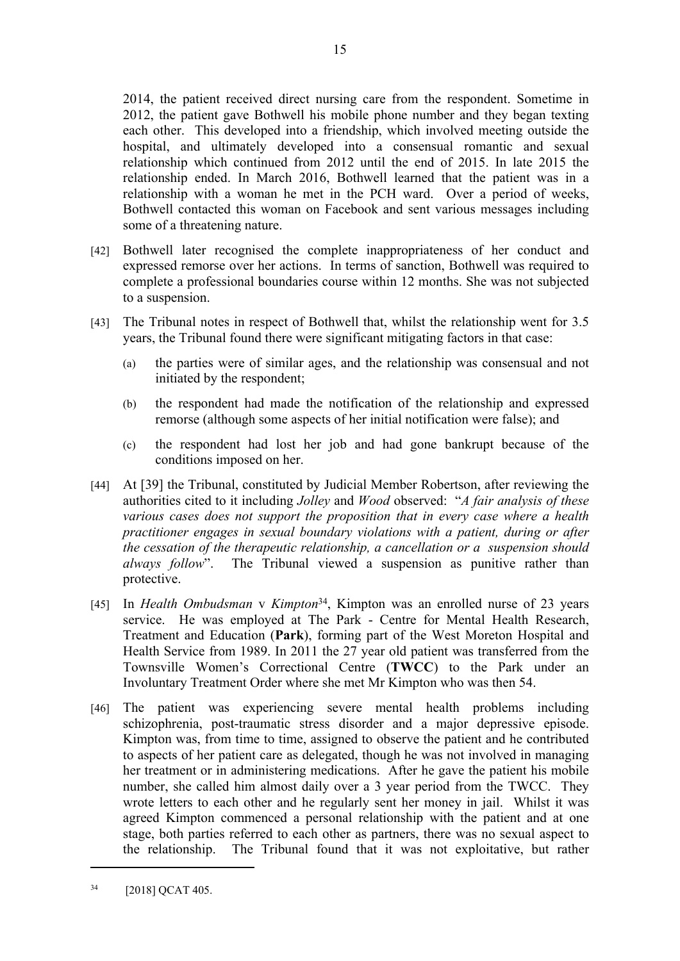2014, the patient received direct nursing care from the respondent. Sometime in 2012, the patient gave Bothwell his mobile phone number and they began texting each other. This developed into a friendship, which involved meeting outside the hospital, and ultimately developed into a consensual romantic and sexual relationship which continued from 2012 until the end of 2015. In late 2015 the relationship ended. In March 2016, Bothwell learned that the patient was in a relationship with a woman he met in the PCH ward. Over a period of weeks, Bothwell contacted this woman on Facebook and sent various messages including some of a threatening nature.

- [42] Bothwell later recognised the complete inappropriateness of her conduct and expressed remorse over her actions. In terms of sanction, Bothwell was required to complete a professional boundaries course within 12 months. She was not subjected to a suspension.
- [43] The Tribunal notes in respect of Bothwell that, whilst the relationship went for 3.5 years, the Tribunal found there were significant mitigating factors in that case:
	- (a) the parties were of similar ages, and the relationship was consensual and not initiated by the respondent;
	- (b) the respondent had made the notification of the relationship and expressed remorse (although some aspects of her initial notification were false); and
	- (c) the respondent had lost her job and had gone bankrupt because of the conditions imposed on her.
- [44] At [39] the Tribunal, constituted by Judicial Member Robertson, after reviewing the authorities cited to it including *Jolley* and *Wood* observed: "*A fair analysis of these various cases does not support the proposition that in every case where a health practitioner engages in sexual boundary violations with a patient, during or after the cessation of the therapeutic relationship, a cancellation or a suspension should always follow*". The Tribunal viewed a suspension as punitive rather than protective.
- [45] In *Health Ombudsman* v *Kimpton*<sup>34</sup>, Kimpton was an enrolled nurse of 23 years service. He was employed at The Park - Centre for Mental Health Research, Treatment and Education (**Park**), forming part of the West Moreton Hospital and Health Service from 1989. In 2011 the 27 year old patient was transferred from the Townsville Women's Correctional Centre (**TWCC**) to the Park under an Involuntary Treatment Order where she met Mr Kimpton who was then 54.
- [46] The patient was experiencing severe mental health problems including schizophrenia, post-traumatic stress disorder and a major depressive episode. Kimpton was, from time to time, assigned to observe the patient and he contributed to aspects of her patient care as delegated, though he was not involved in managing her treatment or in administering medications. After he gave the patient his mobile number, she called him almost daily over a 3 year period from the TWCC. They wrote letters to each other and he regularly sent her money in jail. Whilst it was agreed Kimpton commenced a personal relationship with the patient and at one stage, both parties referred to each other as partners, there was no sexual aspect to the relationship. The Tribunal found that it was not exploitative, but rather

15

<sup>&</sup>lt;sup>34</sup> [2018] QCAT 405.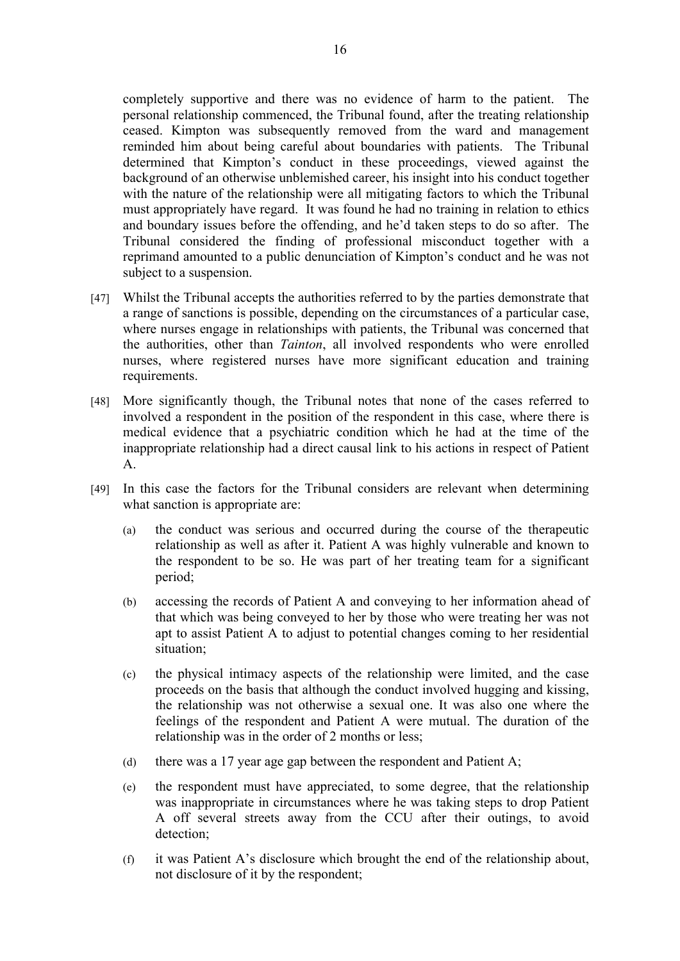completely supportive and there was no evidence of harm to the patient. The personal relationship commenced, the Tribunal found, after the treating relationship ceased. Kimpton was subsequently removed from the ward and management reminded him about being careful about boundaries with patients. The Tribunal determined that Kimpton's conduct in these proceedings, viewed against the background of an otherwise unblemished career, his insight into his conduct together with the nature of the relationship were all mitigating factors to which the Tribunal must appropriately have regard. It was found he had no training in relation to ethics and boundary issues before the offending, and he'd taken steps to do so after. The Tribunal considered the finding of professional misconduct together with a reprimand amounted to a public denunciation of Kimpton's conduct and he was not subject to a suspension.

- [47] Whilst the Tribunal accepts the authorities referred to by the parties demonstrate that a range of sanctions is possible, depending on the circumstances of a particular case, where nurses engage in relationships with patients, the Tribunal was concerned that the authorities, other than *Tainton*, all involved respondents who were enrolled nurses, where registered nurses have more significant education and training requirements.
- [48] More significantly though, the Tribunal notes that none of the cases referred to involved a respondent in the position of the respondent in this case, where there is medical evidence that a psychiatric condition which he had at the time of the inappropriate relationship had a direct causal link to his actions in respect of Patient A.
- [49] In this case the factors for the Tribunal considers are relevant when determining what sanction is appropriate are:
	- (a) the conduct was serious and occurred during the course of the therapeutic relationship as well as after it. Patient A was highly vulnerable and known to the respondent to be so. He was part of her treating team for a significant period;
	- (b) accessing the records of Patient A and conveying to her information ahead of that which was being conveyed to her by those who were treating her was not apt to assist Patient A to adjust to potential changes coming to her residential situation;
	- (c) the physical intimacy aspects of the relationship were limited, and the case proceeds on the basis that although the conduct involved hugging and kissing, the relationship was not otherwise a sexual one. It was also one where the feelings of the respondent and Patient A were mutual. The duration of the relationship was in the order of 2 months or less;
	- (d) there was a 17 year age gap between the respondent and Patient A;
	- (e) the respondent must have appreciated, to some degree, that the relationship was inappropriate in circumstances where he was taking steps to drop Patient A off several streets away from the CCU after their outings, to avoid detection;
	- (f) it was Patient A's disclosure which brought the end of the relationship about, not disclosure of it by the respondent;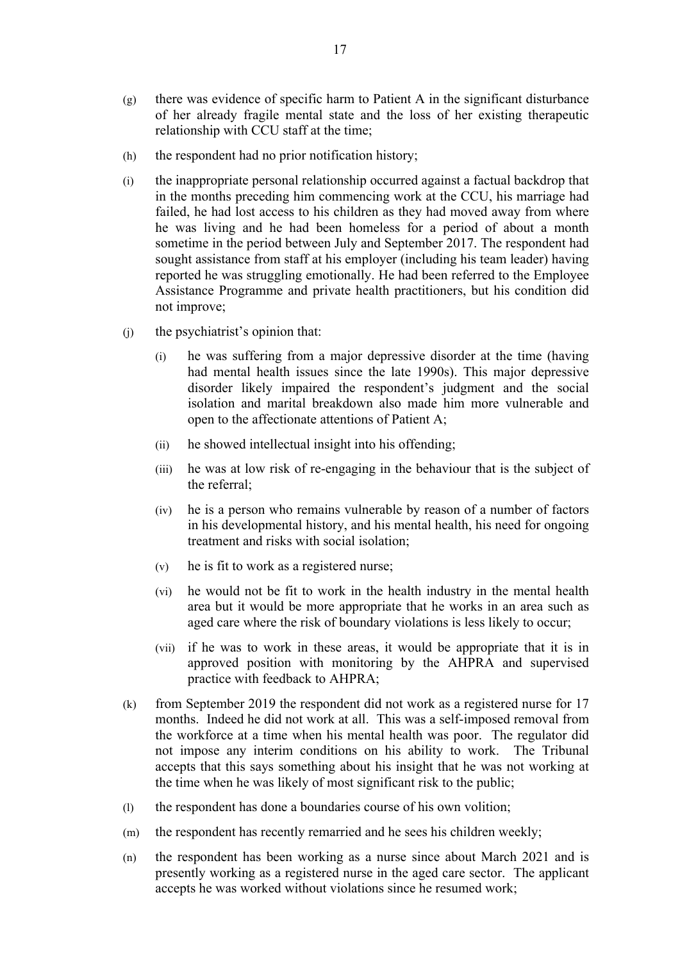- (g) there was evidence of specific harm to Patient A in the significant disturbance of her already fragile mental state and the loss of her existing therapeutic relationship with CCU staff at the time;
- (h) the respondent had no prior notification history;
- (i) the inappropriate personal relationship occurred against a factual backdrop that in the months preceding him commencing work at the CCU, his marriage had failed, he had lost access to his children as they had moved away from where he was living and he had been homeless for a period of about a month sometime in the period between July and September 2017. The respondent had sought assistance from staff at his employer (including his team leader) having reported he was struggling emotionally. He had been referred to the Employee Assistance Programme and private health practitioners, but his condition did not improve;
- (j) the psychiatrist's opinion that:
	- (i) he was suffering from a major depressive disorder at the time (having had mental health issues since the late 1990s). This major depressive disorder likely impaired the respondent's judgment and the social isolation and marital breakdown also made him more vulnerable and open to the affectionate attentions of Patient A;
	- (ii) he showed intellectual insight into his offending;
	- (iii) he was at low risk of re-engaging in the behaviour that is the subject of the referral;
	- (iv) he is a person who remains vulnerable by reason of a number of factors in his developmental history, and his mental health, his need for ongoing treatment and risks with social isolation;
	- (v) he is fit to work as a registered nurse;
	- (vi) he would not be fit to work in the health industry in the mental health area but it would be more appropriate that he works in an area such as aged care where the risk of boundary violations is less likely to occur;
	- (vii) if he was to work in these areas, it would be appropriate that it is in approved position with monitoring by the AHPRA and supervised practice with feedback to AHPRA;
- (k) from September 2019 the respondent did not work as a registered nurse for 17 months. Indeed he did not work at all. This was a self-imposed removal from the workforce at a time when his mental health was poor. The regulator did not impose any interim conditions on his ability to work. The Tribunal accepts that this says something about his insight that he was not working at the time when he was likely of most significant risk to the public;
- (l) the respondent has done a boundaries course of his own volition;
- (m) the respondent has recently remarried and he sees his children weekly;
- (n) the respondent has been working as a nurse since about March 2021 and is presently working as a registered nurse in the aged care sector. The applicant accepts he was worked without violations since he resumed work;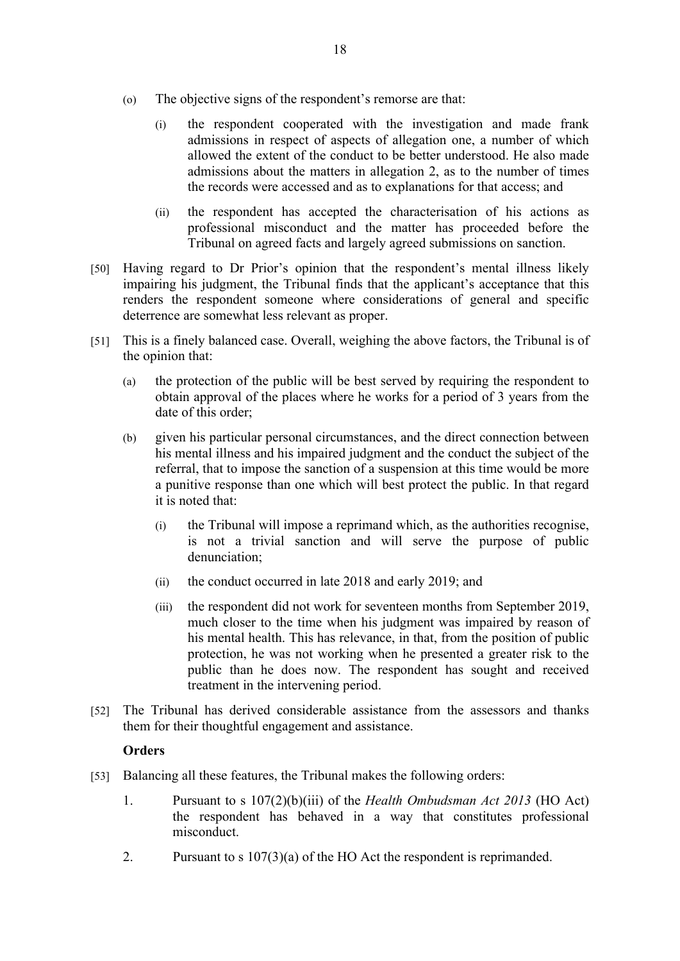- (o) The objective signs of the respondent's remorse are that:
	- (i) the respondent cooperated with the investigation and made frank admissions in respect of aspects of allegation one, a number of which allowed the extent of the conduct to be better understood. He also made admissions about the matters in allegation 2, as to the number of times the records were accessed and as to explanations for that access; and
	- (ii) the respondent has accepted the characterisation of his actions as professional misconduct and the matter has proceeded before the Tribunal on agreed facts and largely agreed submissions on sanction.
- [50] Having regard to Dr Prior's opinion that the respondent's mental illness likely impairing his judgment, the Tribunal finds that the applicant's acceptance that this renders the respondent someone where considerations of general and specific deterrence are somewhat less relevant as proper.
- [51] This is a finely balanced case. Overall, weighing the above factors, the Tribunal is of the opinion that:
	- (a) the protection of the public will be best served by requiring the respondent to obtain approval of the places where he works for a period of 3 years from the date of this order;
	- (b) given his particular personal circumstances, and the direct connection between his mental illness and his impaired judgment and the conduct the subject of the referral, that to impose the sanction of a suspension at this time would be more a punitive response than one which will best protect the public. In that regard it is noted that:
		- (i) the Tribunal will impose a reprimand which, as the authorities recognise, is not a trivial sanction and will serve the purpose of public denunciation;
		- (ii) the conduct occurred in late 2018 and early 2019; and
		- (iii) the respondent did not work for seventeen months from September 2019, much closer to the time when his judgment was impaired by reason of his mental health. This has relevance, in that, from the position of public protection, he was not working when he presented a greater risk to the public than he does now. The respondent has sought and received treatment in the intervening period.
- [52] The Tribunal has derived considerable assistance from the assessors and thanks them for their thoughtful engagement and assistance.

## **Orders**

- [53] Balancing all these features, the Tribunal makes the following orders:
	- 1. Pursuant to s 107(2)(b)(iii) of the *Health Ombudsman Act 2013* (HO Act) the respondent has behaved in a way that constitutes professional misconduct.
	- 2. Pursuant to s 107(3)(a) of the HO Act the respondent is reprimanded.